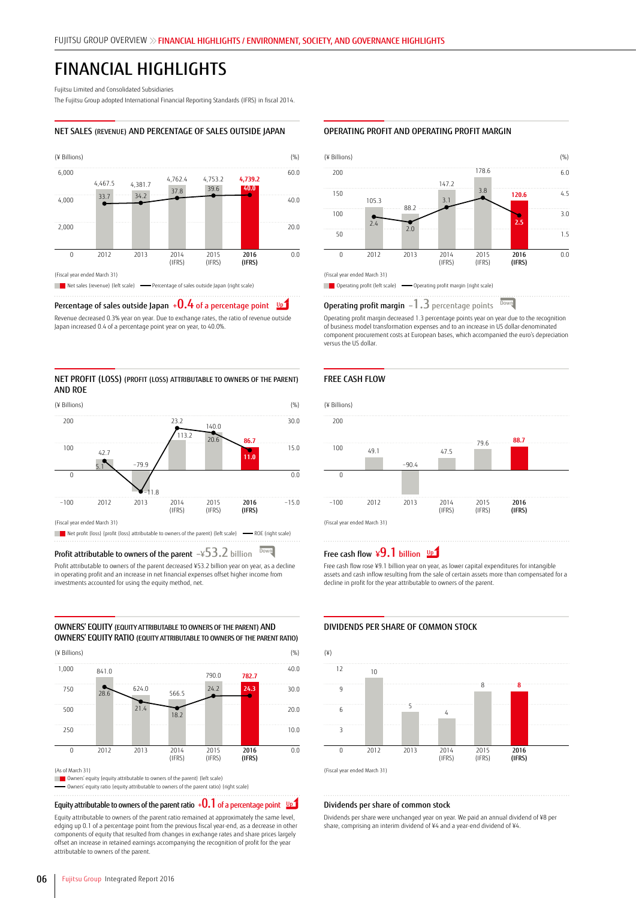# FINANCIAL HIGHLIGHTS

Fujitsu Limited and Consolidated Subsidiaries

The Fujitsu Group adopted International Financial Reporting Standards (IFRS) in fiscal 2014.

#### NET SALES (REVENUE) AND PERCENTAGE OF SALES OUTSIDE JAPAN



# Percentage of sales outside Japan  $+0.4$  of a percentage point  $^{-\underline{\upsilon} \underline{\boldsymbol{p}}}$

Revenue decreased 0.3% year on year. Due to exchange rates, the ratio of revenue outside Japan increased 0.4 of a percentage point year on year, to 40.0%.

#### NET PROFIT (LOSS) (PROFIT (LOSS) ATTRIBUTABLE TO OWNERS OF THE PARENT) AND ROE



## Profit attributable to owners of the parent **<sup>−</sup>**¥53.2 billion

Profit attributable to owners of the parent decreased ¥53.2 billion year on year, as a decline in operating profit and an increase in net financial expenses offset higher income from investments accounted for using the equity method, net.

OWNERS' EQUITY (EQUITY ATTRIBUTABLE TO OWNERS OF THE PARENT) AND OWNERS' EQUITY RATIO (EQUITY ATTRIBUTABLE TO OWNERS OF THE PARENT RATIO)



**Owners' equity (equity attributable to owners of the parent) (left scale)** Owners' equity ratio (equity attributable to owners of the parent ratio) (right scale)

# Equity attributable to owners of the parent ratio  $+0.1$  of a percentage point  $^{-\mathsf{UPD}}$

Equity attributable to owners of the parent ratio remained at approximately the same level, edging up 0.1 of a percentage point from the previous fiscal year-end, as a decrease in other components of equity that resulted from changes in exchange rates and share prices largely offset an increase in retained earnings accompanying the recognition of profit for the year attributable to owners of the parent.

#### OPERATING PROFIT AND OPERATING PROFIT MARGIN



Operating profit margin **<sup>−</sup>**1.3 percentage points Down

Operating profit margin decreased 1.3 percentage points year on year due to the recognition of business model transformation expenses and to an increase in US dollar-denominated component procurement costs at European bases, which accompanied the euro's depreciation versus the US dollar.

#### FREE CASH FLOW



# $\overline{\text{Down}}$  Pree cash flow  $\overline{49.1}$  billion  $\frac{UP}{P}$

Free cash flow rose ¥9.1 billion year on year, as lower capital expenditures for intangible assets and cash inflow resulting from the sale of certain assets more than compensated for a decline in profit for the year attributable to owners of the parent.

## DIVIDENDS PER SHARE OF COMMON STOCK



(Fiscal year ended March 31)

#### Dividends per share of common stock

Dividends per share were unchanged year on year. We paid an annual dividend of ¥8 per share, comprising an interim dividend of ¥4 and a year-end dividend of ¥4.